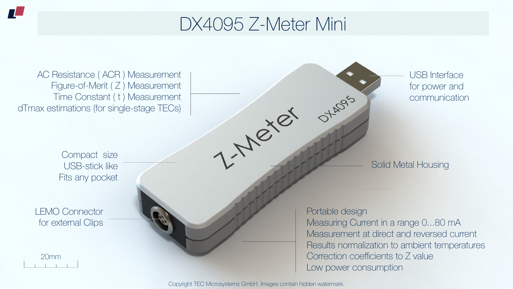Copyright TEC Microsystems GmbH. Images contain hidden watermark.



### DX4095 Z-Meter Mini

1-Mexer





AC Resistance ( ACR ) Measurement Figure-of-Merit (Z) Measurement Time Constant ( t ) Measurement dTmax estimations (for single-stage TECs)

USB Interface for power and communication

LEMO Connector for external Clips Portable design

OTARDS'S

Measuring Current in a range 0...80 mA Measurement at direct and reversed current Results normalization to ambient temperatures Correction coefficients to Z value Low power consumption

Compact size USB-stick like Fits any pocket

Solid Metal Housing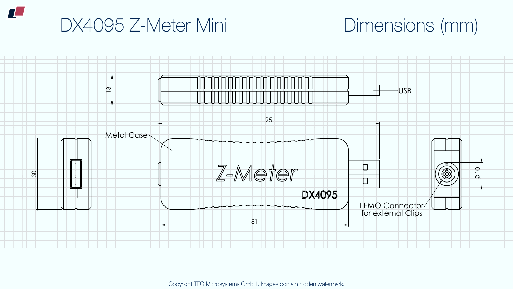Copyright TEC Microsystems GmbH. Images contain hidden watermark.

# DX4095 Z-Meter Mini Dimensions (mm)